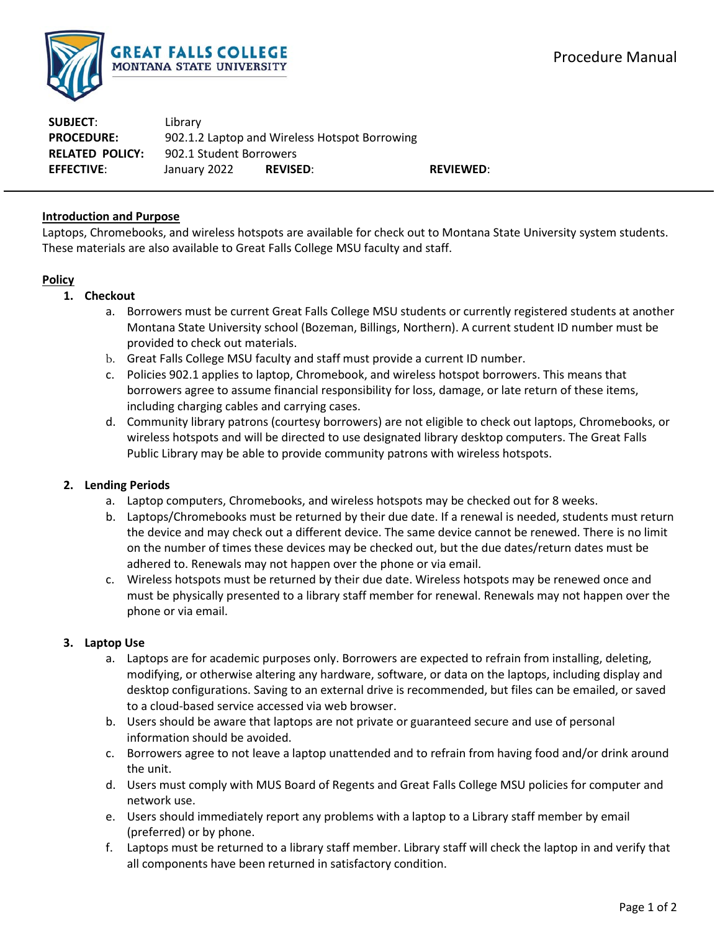

**SUBJECT**: Library **PROCEDURE:** 902.1.2 Laptop and Wireless Hotspot Borrowing **RELATED POLICY:** 902.1 Student Borrowers **EFFECTIVE**: January 2022 **REVISED**: **REVIEWED**:

## **Introduction and Purpose**

Laptops, Chromebooks, and wireless hotspots are available for check out to Montana State University system students. These materials are also available to Great Falls College MSU faculty and staff.

### **Policy**

### **1. Checkout**

- a. Borrowers must be current Great Falls College MSU students or currently registered students at another Montana State University school (Bozeman, Billings, Northern). A current student ID number must be provided to check out materials.
- b. Great Falls College MSU faculty and staff must provide a current ID number.
- c. Policies 902.1 applies to laptop, Chromebook, and wireless hotspot borrowers. This means that borrowers agree to assume financial responsibility for loss, damage, or late return of these items, including charging cables and carrying cases.
- d. Community library patrons (courtesy borrowers) are not eligible to check out laptops, Chromebooks, or wireless hotspots and will be directed to use designated library desktop computers. The Great Falls Public Library may be able to provide community patrons with wireless hotspots.

### **2. Lending Periods**

- a. Laptop computers, Chromebooks, and wireless hotspots may be checked out for 8 weeks.
- b. Laptops/Chromebooks must be returned by their due date. If a renewal is needed, students must return the device and may check out a different device. The same device cannot be renewed. There is no limit on the number of times these devices may be checked out, but the due dates/return dates must be adhered to. Renewals may not happen over the phone or via email.
- c. Wireless hotspots must be returned by their due date. Wireless hotspots may be renewed once and must be physically presented to a library staff member for renewal. Renewals may not happen over the phone or via email.

### **3. Laptop Use**

- a. Laptops are for academic purposes only. Borrowers are expected to refrain from installing, deleting, modifying, or otherwise altering any hardware, software, or data on the laptops, including display and desktop configurations. Saving to an external drive is recommended, but files can be emailed, or saved to a cloud-based service accessed via web browser.
- b. Users should be aware that laptops are not private or guaranteed secure and use of personal information should be avoided.
- c. Borrowers agree to not leave a laptop unattended and to refrain from having food and/or drink around the unit.
- d. Users must comply with MUS Board of Regents and Great Falls College MSU policies for computer and network use.
- e. Users should immediately report any problems with a laptop to a Library staff member by email (preferred) or by phone.
- f. Laptops must be returned to a library staff member. Library staff will check the laptop in and verify that all components have been returned in satisfactory condition.